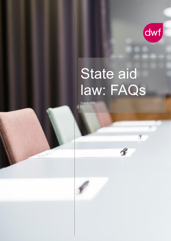

# State aid law: FAQs

 $\mathcal{L}$ 

August 2020

 $\sim$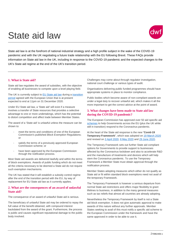## State aid law



State aid law is at the forefront of national industrial strategy and a high profile subject in the wake of the COVID-19 pandemic and with the UK negotiating a future trade relationship with the EU following Brexit. These FAQs provide information on State aid law in the UK, including in response to the COVID-19 pandemic and the expected changes to the UK's State aid regime at the end of the UK's transition period.

#### **1. What is State aid?**

State aid law regulates the award of subsidies, with the objective of enabling all businesses to compete upon a level playing field.

The UK is currently subject to [EU State aid law](https://ec.europa.eu/competition/state_aid/overview/index_en.html) during a transition [period](https://www.dwf.law/Legal-Insights/2020/January/Britain-exits-the-European-Union) agreed with the European Union that is at present expected to end at 11pm on 31 December 2020.

Under EU State aid law, a 'State aid' will exist if a measure involves a transfer of State resources that provides a selective advantage to one or more undertakings, which has the potential to distort competition and affect trade between Member States.

The award of a 'State aid' is unlawful unless the measure can be shown to:

- meet the terms and conditions of one of the European Commission's published *Block Exemption* Regulations; or
- satisfy the terms of a previously approved European Commission scheme; or
- have been approved by the European Commission through the notification process.

Most State aid awards are delivered lawfully and within the terms of block exemptions. Awards of public funding which do not meet all the criteria necessary to be deemed a State aid do not require such exemption mechanisms.

The UK has stated that it will establish a subsidy control regime after the end of the transition period with the EU, by way of replacement for EU State aid law as it currently applies.

#### **2. What are the consequences of an award of unlawful State aid?**

The consequence of an award of unlawful State aid is serious.

The beneficiary of unlawful State aid may be ordered to repay the full value of the benefit obtained, with compound interest backdated from the award of the grant. Furthermore, the process is public and causes significant reputational damage to the public body involved.

Challenges may come about through regulator investigation, national court challenge or various types of audit.

Organisations delivering public funded programmes should have appropriate systems in place to monitor compliance.

Public bodies which become aware of non-compliant awards are under a legal duty to recover unlawful aid, which makes it all the more important to get the correct advice at the point of award.

#### **3. What changes have been made to State aid law during the COVID-19 pandemic?**

The European Commission has approved over 50 aid specific aid [schemes](https://ec.europa.eu/competition/state_aid/what_is_new/State_aid_decisions_TF_and_107_2_b_and_107_3_b.pdf) to help Governments across the EU (plus the UK while still in transition) respond to the Coronavirus pandemic.

At the heart of the State aid response is the new "**Covid-19 Temporary Framework**", which was adopted on [19 March 2020](https://www.dwf.law/Legal-Insights/2020/March/European-Commission-adopts-new-State-aid-exemptions-to-allow-Governments) and revised on [3 April 2020,](https://www.dwf.law/en/Legal-Insights/2020/April/Scheme-approved-to-grant-State-aid-awards) [8 May 2020](https://www.dwf.law/Legal-Insights/2020/May/State-aid-law-European-Commission-amends-COVID-19-Temporary-Framework) and [29 June 2020.](https://www.dwf.law/Legal-Insights/2020/June/State-aid-law-the-Undertaking-in-difficulty-test-is-relaxed)

The Temporary Framework sets out further State aid compliant options for Governments to provide support to businesses affected by the Coronavirus lockdown and also to accelerate R&D and the manufacture of treatments and devices which will help stem the Coronavirus pandemic. To use the Temporary Framework a Member State must obtain approval through the notification process.

Member States adopting measures which either do not qualify as State aid or fit within standard block exemptions need not avail of the temporary Framework.

The Temporary Framework is however a serious departure from normal State aid restrictions and offers major flexibility to grant lifelines to business, in addition to the many general measures such as tax reliefs that almost all countries are already adopting.

Nevertheless the Temporary Framework by itself is not a State aid block exemption. It does not give automatic approval to make awards of this nature without any further approvals. Member States seeking to avail of this must notify a specific aid scheme to the European Commission under the framework and have the same approved in order to be able to use it.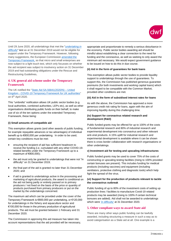

Until 29 June 2020, all undertakings that met the "*[undertaking in](https://www.dwf.law/Legal-Insights/2020/April/The-State-Aid-Undertaking-in-Difficulty-test#:~:text=The%20%27Undertaking%20in%20Difficulty%27%20test%20can%20be%20found,at%20least%20one%20of%20the%20following%20circumstances%20occurs%3A)  [difficulty](https://www.dwf.law/Legal-Insights/2020/April/The-State-Aid-Undertaking-in-Difficulty-test#:~:text=The%20%27Undertaking%20in%20Difficulty%27%20test%20can%20be%20found,at%20least%20one%20of%20the%20following%20circumstances%20occurs%3A)*" test as at 31 December 2019 would not be eligible for support under the Temporary Framework. However, following many suggestions, the European Commission [amended the](https://ec.europa.eu/competition/state_aid/what_is_new/sa_covid19_3rd_amendment_temporary_framework_en.pdf)  [Temporary Framework,](https://ec.europa.eu/competition/state_aid/what_is_new/sa_covid19_3rd_amendment_temporary_framework_en.pdf) so that micro and small enterprises are now subject to a light touch test, which only focusses on whether the aid recipient was subject to insolvency action on 31 December 2019 and had outstanding obligations under the Rescue and Restructuring Guidelines.

#### **4. UK general aid scheme under the Temporary Framework**

The UK notified the ["State Aid SA.56841\(2020/N\) –](https://ec.europa.eu/competition/state_aid/cases1/202015/285283_2146683_71_2.pdf) United Kingdom - [COVID-19 Temporary Framework for UK authorities"](https://ec.europa.eu/competition/state_aid/cases1/202015/285283_2146683_71_2.pdf) on 6th April 2020.

This "umbrella" notification allows UK public sector bodies (e.g. local authorities, combined authorities, LEPs etc), as well as other organisations distributing public funds on their behalf, to make use of six of the ten options under the extended Temporary Framework, these being:

#### **(i) Small amounts of compatible aid**

This exemption allows grants (and other awards of public funding, for example repayable advances or tax advantages) of individual benefit up to €800,000 per undertaking. In order to be used, certain key conditions must be met:

- ensuring the recipient of aid has sufficient headroom to receive the funding (i.e. cumulated with any other COVID-19 related benefits under the Temporary Framework up to a maximum of €800,000);
- the aid must only be granted to undertakings that were not "in difficulty" on 31 December 2019;
- the final part of the aid is granted no later than 31 December 2020; and
- if aid is granted to undertakings active in the processing and marketing of agricultural products, the award is conditional on the aid not being partly or entirely passed on to primary producers / not fixed on the basis of the price or quantity of products purchased from primary producers or put on the market by the undertakings concerned.

The maximum aid which can be provided under the cover of the Temporary Framework is €800,000 per undertaking, or €120,000 for undertakings in the fishery and aquaculture sector and €100,000 for those in the primary production of agricultural products. The aid must be granted between 1 February and 31 December 2020.

The Commission in approving this aid measure has taken into account representations that the aid provided will be necessary, appropriate and proportionate to remedy a serious disturbance in the economy. Public sector bodies awarding aid should be mindful about establishing a clear connection to the need for funding and the coronavirus, as well as seeking to only award the minimum aid necessary. We would expect government guidance to be issued on how to do this in due course.

#### **(ii) Aid in the form of guarantees for bank loans**

This exemption allows public sector bodies to provide liquidity support to undertakings through the use of guarantees. To support this, the Commission has published generous guarantee premiums (for both investments and working capital loans) which it shall regard to be compatible with the Common Market, provided other conditions are met.

#### **(iii) Aid in the form of subsidised interest rates for loans**

As with the above, the Commission has approved a more generous credit risk rating for loans, again with the aim of improving liquidity during this challenging time.

#### **(iv) Support for coronavirus related research and development (R&D)**

Public funded grants may be offered for up to 100% of the costs of fundamental research and 80% of industrial research and experimental development into coronavirus and other relevant anti-viral products. A 15% uplift for industrial research and experimental development is available where it can be shown there is cross border collaboration with research organisations or other undertakings.

#### **v) Investment aid for testing and upscaling infrastructures**

Public funded grants may be used to cover 75% of the costs of constructing or upscaling testing facilities (rising to 100% provided certain bonuses are present). This includes funding for medical products (including vaccines) and equipment (including ventilators, protective clothing and diagnostic tools) which help fight the spread of the virus.

#### **(vi) Support for the production of products relevant to tackle the coronavirus outbreak**

Public funding of up to 80% of the investment costs of setting up production lines / facilities to manufacture Covid-19 related products may be awarded (rising to 100% if certain technical bonuses are added). Aid shall not be awarded to undertakings which were ['in difficulty'](https://www.dwf.law/Legal-Insights/2020/April/The-State-Aid-Undertaking-in-Difficulty-test) at 31 December 2020.

#### **5. Other compliant ways to award State aid**

There are many other ways public funding can be lawfully awarded, including structuring a measure in such a way as to avoid categorisation as a State aid at all. One example is a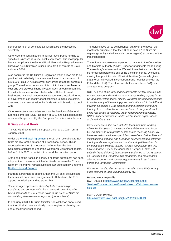

general tax relief of benefit to all, which lacks the necessary selectivity.

Otherwise, the usual method to deliver lawful public funding to specific businesses is to use block exemptions. The most popular block exemption is the General Block Exemption Regulation (also known as "GBER") which is used for c. 97% of awards of State aid since 2014.

Also popular is the De Minimis Regulation which allows aid to be provided with relatively low administration up to a maximum of €200,000 (circa £170k at current conversion rates) per corporate group. The aid must not exceed this limit in the current financial year and two previous financial years. Such amounts mean little to multinational corporations but can be a lifeline to small businesses. National governments (and/or more localised forms of government) can readily adopt schemes to make use of this, assuming they can set aside the funds with which to do it to begin with.

Other exemptions also exists such as the Services of General Economic Interest (SGEI) Decision of 2012 and a limited number of nationally approved (by the European Commission) schemes.

#### **6. State aid and Brexit**

The UK withdrew from the European Union at 11:00pm on 31 January 2020.

Under the [Withdrawal Agreement](https://assets.publishing.service.gov.uk/government/uploads/system/uploads/attachment_data/file/840655/Agreement_on_the_withdrawal_of_the_United_Kingdom_of_Great_Britain_and_Northern_Ireland_from_the_European_Union_and_the_European_Atomic_Energy_Community.pdf) the UK shall be subject to EU State aid law for the duration of a transitional period. This is expected to end on 31 December 2020, unless the Joint Committee established under the Withdrawal Agreement adopts, before 1 July 2020, a decision to extend the transition period.

At the end of the transition period, if no trade agreement has been adopted then measures which affect trade between the EU and Northern Ireland will remain subject to EU State aid law under the [Northern Ireland Protocol.](https://assets.publishing.service.gov.uk/government/uploads/system/uploads/attachment_data/file/840230/Revised_Protocol_to_the_Withdrawal_Agreement.pdf)

If a trade agreement is adopted, then the UK shall be subject to the terms set out in such an agreement. At this time, the EU's agreed negotiating mandate states that:

"*the envisaged agreement should uphold common high standards, and corresponding high standards over time with Union standards as a reference point, in the areas of State aid, competition, state-owned enterprises"* (our emphasis)

In February 2020, UK Prime Minister Boris Johnson announced that the UK shall have a subsidy control regime in place by the end of the transitional period.

The details have yet to be published, but given the above, the most likely outcome is that the UK shall have a 'UK State aid regime' (possibly called 'subsidy control regime') at the end of the transition period.

The enforcement role was expected to transfer to the Competition and Markets Authority ("CMA") under arrangements made during Theresa May's administration. We anticipate that such a role will be formalised before the end of the transition period. Of course, making firm predictions is difficult at this time (especially given that the UK is involved in concurrent trade negotiations with the EU and the USA). Therefore, we shall update these FAQs as arrangements progress.

*DWF has one of the largest dedicated State aid law teams in UK private practice and can draw upon market leading experts in our UK and other international offices. We have advised and continue to advise many of the leading public authorities within the UK and beyond, alongside a wide spectrum of the recipients of public funding, from multi-national manufacturers, to large and small scale real estate developers, urban regeneration specialists, SMEs, higher education institutes and research organisations, and charitable trusts.* 

*Our experience in this area includes team members working within the European Commission, Central Government, Local Government and with private sector bodies receiving funds. We have worked on a wide range of European Commission State aid investigations, national and European court challenges, different funding audit investigations and on structuring different funds, schemes and individual awards towards compliance. We also have extensive experience of handling European Union antisubsidy (trade defence) investigations under the WTO Agreement on Subsidies and Countervailing Measures, and representing affected exporters and sovereign governments in such cases before the European Commission.*

*We are on hand to discuss issues raised in these FAQs or any other element of State aid and subsidy law.*

#### **Related website profile**

DWF State aid: [https://www.dwf.law/Expertise/Legal-](https://www.dwf.law/Expertise/Legal-Services/Commercial-Law/State-Aid#sectorTab=how-can-we-help-tab)[Services/Commercial-Law/State-Aid#sectorTab=how-can-we](https://www.dwf.law/Expertise/Legal-Services/Commercial-Law/State-Aid#sectorTab=how-can-we-help-tab)[help-tab](https://www.dwf.law/Expertise/Legal-Services/Commercial-Law/State-Aid#sectorTab=how-can-we-help-tab)

DWF COVID-19 Hub: <https://www.dwf.law/Legal-Insights/2020/COVID-19>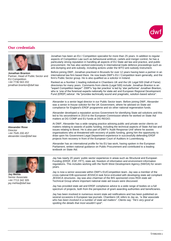

#### **Our credentials**



**Jonathan Branton** Partner, Head of Public Sector and EU Competition +44 7736 563 202 jonathan.branton@dwf.law



**Alexander Rose Director** +44 7545 200 457 alexander.rose@dwf.law

Jonathan has been an EU / Competition specialist for more than 25 years. In addition to regular aspects of Competition Law such as behavioural antitrust, cartels and merger control, he has a particularly strong reputation in handling all aspects of EU State aid law and practice, and public procurement. He has also worked extensively in international trade defence proceedings such as anti-dumping and anti-subsidy, including actions under the WTO anti-subsidy instrument.

Before joining DWF, Jonathan practised in Brussels for over 12 years having been a partner in an international law firm based there. He now leads DWF's EU / Competition team generally, and the firm's Public Sector group. He is also qualified as a solicitor in Ireland.

Ranked as a Number 1 leading individual in Chambers UK and the UK Legal 500 (Hall of Fame) directories for many years. Comments from clients (Legal 500) include: Jonathan Branton is an "expert Competition lawyer". DWF's 'top-tier practice' is led by 'star performer' Jonathan Branton, who is 'one of the foremost experts nationally for state aid and European Regional Development Fund (ERDF) advice'. He "provides technically sound and pragmatic, solution-based advice".

Alexander is a senior legal director in our Public Sector team. Before joining DWF, Alexander was a senior in-house solicitor for the UK Government, where he advised on State aid compliance for England's ERDF programme and six other national regeneration funds.

Alexander developed a reputation across Government for identifying State aid solutions and this led to his secondment in 2014 to the European Commission where he worked on State Aid matters at DG COMP and EU funds at DG REGIO.

At DWF, Alexander has a wide ranging practice advising public and private sector clients on matters relating to awards of public funding, including the technical aspects of State Aid law and issues relating to Brexit. He is also part of DWF's 'Audit Response Unit' where he assists organisations who at threatened with recovery of public funding, giving him the opportunity to draw upon his Government Legal Department experience in successfully defending ERDF projects from recovery in front of the European Court of Auditors in Luxembourg.

Alexander has an international profile for his EU law work, having spoken in the European Parliament, written national guidance on Public Procurement and contributed to a leading textbook on State Aid.



**Jay Mehta** Senior Associate +44 7713 342 305 jay.mehta@dwf.law

Jay has nearly 20 years' public sector experience in areas such as Structural and European Funding (ERDF, ESF, FP7), state aid, freedom of information and environment information regulations. This includes working with the North West Development Agency (NWDA) for seven years.

Jay is now a senior associate within DWF's EU/Competition team. Jay was a member of the cross-national EIB-sponsored JESSICA task force entrusted with developing state aid compliant JESSICA structures. Jay was also chairman of the BIS sponsored cross RDA state aid Technical Group where important national state aid issues were discussed.

Jay has provided state aid and ERDF compliance advice to a wide range of bodies on a full spectrum of projects, both from the perspective of grant awarding authorities and beneficiaries.

Jay has been involved in numerous recent state aid notifications and has been published on several occasions in European law journals. Chambers UK refers to Jay as, *"a Star associate who has been involved in a number of state aid matters"*. Clients say: *"He's very good at spotting the details that most wouldn't spot"*.